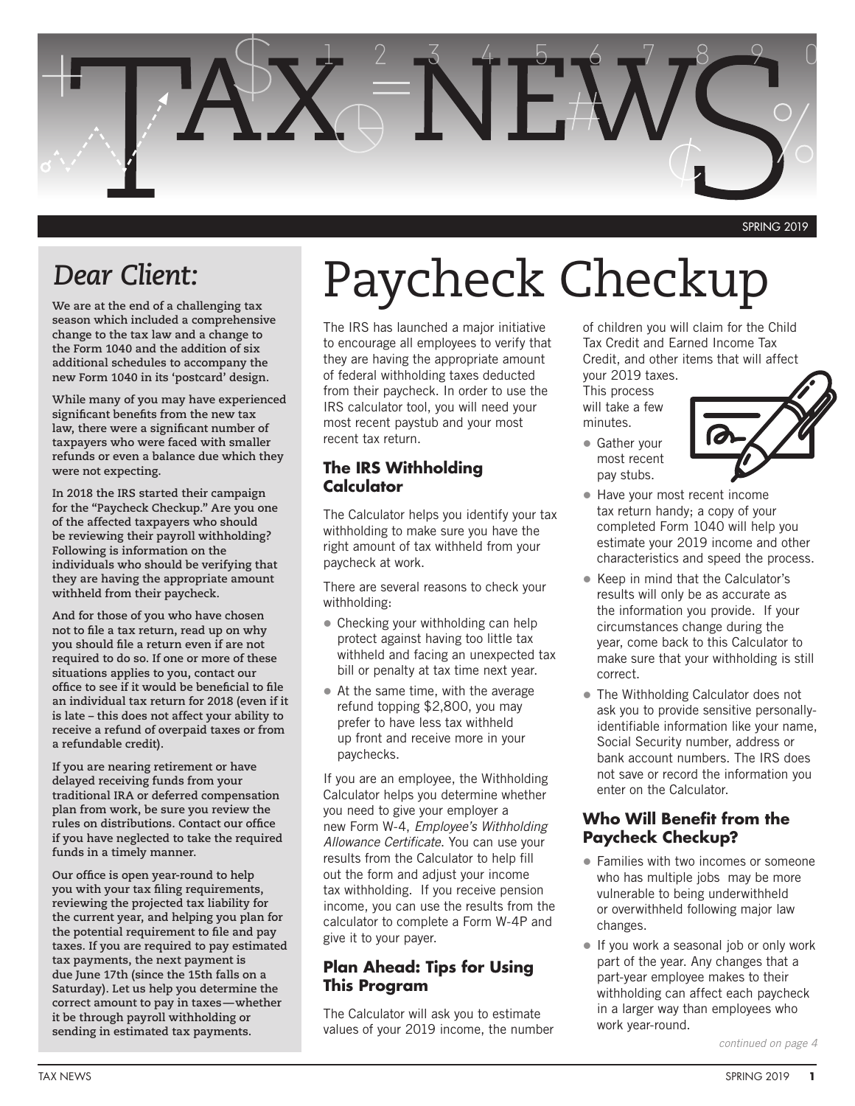

## *Dear Client:*

**We are at the end of a challenging tax season which included a comprehensive change to the tax law and a change to the Form 1040 and the addition of six additional schedules to accompany the new Form 1040 in its 'postcard' design.**

**While many of you may have experienced significant benefits from the new tax law, there were a significant number of taxpayers who were faced with smaller refunds or even a balance due which they were not expecting.**

**In 2018 the IRS started their campaign for the "Paycheck Checkup." Are you one of the affected taxpayers who should be reviewing their payroll withholding? Following is information on the individuals who should be verifying that they are having the appropriate amount withheld from their paycheck.**

**And for those of you who have chosen not to file a tax return, read up on why you should file a return even if are not required to do so. If one or more of these situations applies to you, contact our office to see if it would be beneficial to file an individual tax return for 2018 (even if it is late – this does not affect your ability to receive a refund of overpaid taxes or from a refundable credit).**

**If you are nearing retirement or have delayed receiving funds from your traditional IRA or deferred compensation plan from work, be sure you review the rules on distributions. Contact our office if you have neglected to take the required funds in a timely manner.**

**Our office is open year-round to help you with your tax filing requirements, reviewing the projected tax liability for the current year, and helping you plan for the potential requirement to file and pay taxes. If you are required to pay estimated tax payments, the next payment is due June 17th (since the 15th falls on a Saturday). Let us help you determine the correct amount to pay in taxes—whether it be through payroll withholding or sending in estimated tax payments.** 

# Paycheck Checkup

The IRS has launched a major initiative to encourage all employees to verify that they are having the appropriate amount of federal withholding taxes deducted from their paycheck. In order to use the IRS calculator tool, you will need your most recent paystub and your most recent tax return.

#### **The IRS Withholding Calculator**

The Calculator helps you identify your tax withholding to make sure you have the right amount of tax withheld from your paycheck at work.

There are several reasons to check your withholding:

- Checking your withholding can help protect against having too little tax withheld and facing an unexpected tax bill or penalty at tax time next year.
- At the same time, with the average refund topping \$2,800, you may prefer to have less tax withheld up front and receive more in your paychecks.

If you are an employee, the Withholding Calculator helps you determine whether you need to give your employer a new Form W-4, *Employee's Withholding Allowance Certificate*. You can use your results from the Calculator to help fill out the form and adjust your income tax withholding. If you receive pension income, you can use the results from the calculator to complete a Form W-4P and give it to your payer.

#### **Plan Ahead: Tips for Using This Program**

The Calculator will ask you to estimate values of your 2019 income, the number

of children you will claim for the Child Tax Credit and Earned Income Tax Credit, and other items that will affect your 2019 taxes.

This process will take a few minutes.

**Gather your** most recent pay stubs.



- Have your most recent income tax return handy; a copy of your completed Form 1040 will help you estimate your 2019 income and other characteristics and speed the process.
- Keep in mind that the Calculator's results will only be as accurate as the information you provide. If your circumstances change during the year, come back to this Calculator to make sure that your withholding is still correct.
- The Withholding Calculator does not ask you to provide sensitive personallyidentifiable information like your name, Social Security number, address or bank account numbers. The IRS does not save or record the information you enter on the Calculator.

### **Who Will Benefit from the Paycheck Checkup?**

- Families with two incomes or someone who has multiple jobs may be more vulnerable to being underwithheld or overwithheld following major law changes.
- If you work a seasonal job or only work part of the year. Any changes that a part-year employee makes to their withholding can affect each paycheck in a larger way than employees who work year-round.

*continued on page 4*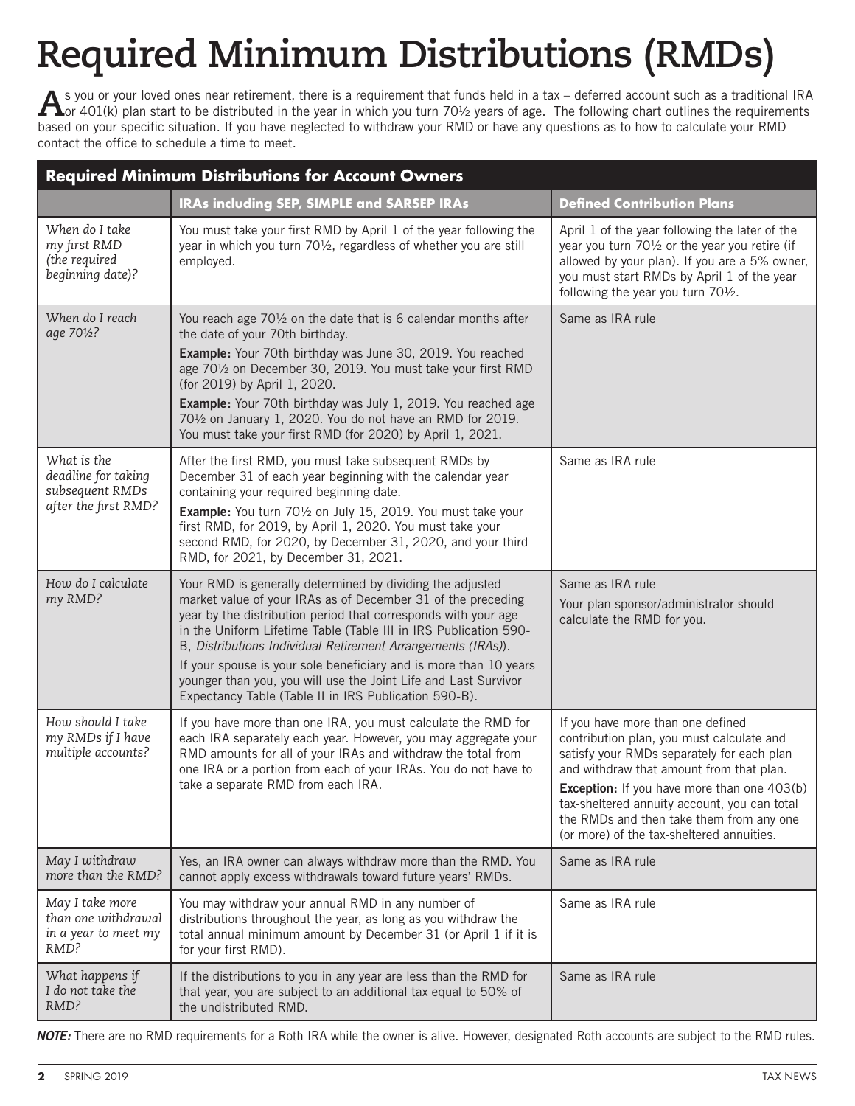# **Required Minimum Distributions (RMDs)**

A s you or your loved ones near retirement, there is a requirement that funds held in a tax – deferred account such as a traditional IRA<br>A or 401(k) plan start to be distributed in the year in which you turn 70½ years of a based on your specific situation. If you have neglected to withdraw your RMD or have any questions as to how to calculate your RMD contact the office to schedule a time to meet.

| <b>Required Minimum Distributions for Account Owners</b>                      |                                                                                                                                                                                                                                                                                                                                                                                                                                                                                                                                  |                                                                                                                                                                                                                                                                                                                                                                         |  |
|-------------------------------------------------------------------------------|----------------------------------------------------------------------------------------------------------------------------------------------------------------------------------------------------------------------------------------------------------------------------------------------------------------------------------------------------------------------------------------------------------------------------------------------------------------------------------------------------------------------------------|-------------------------------------------------------------------------------------------------------------------------------------------------------------------------------------------------------------------------------------------------------------------------------------------------------------------------------------------------------------------------|--|
|                                                                               | IRAs including SEP, SIMPLE and SARSEP IRAs                                                                                                                                                                                                                                                                                                                                                                                                                                                                                       | <b>Defined Contribution Plans</b>                                                                                                                                                                                                                                                                                                                                       |  |
| When do I take<br>my first RMD<br>(the required<br>beginning date)?           | You must take your first RMD by April 1 of the year following the<br>year in which you turn 701/2, regardless of whether you are still<br>employed.                                                                                                                                                                                                                                                                                                                                                                              | April 1 of the year following the later of the<br>year you turn 701/2 or the year you retire (if<br>allowed by your plan). If you are a 5% owner,<br>you must start RMDs by April 1 of the year<br>following the year you turn 701/2.                                                                                                                                   |  |
| When do I reach<br>age 701/2?                                                 | You reach age 701/2 on the date that is 6 calendar months after<br>the date of your 70th birthday.<br>Example: Your 70th birthday was June 30, 2019. You reached<br>age 701/2 on December 30, 2019. You must take your first RMD<br>(for 2019) by April 1, 2020.<br><b>Example:</b> Your 70th birthday was July 1, 2019. You reached age<br>701/2 on January 1, 2020. You do not have an RMD for 2019.<br>You must take your first RMD (for 2020) by April 1, 2021.                                                              | Same as IRA rule                                                                                                                                                                                                                                                                                                                                                        |  |
| What is the<br>deadline for taking<br>subsequent RMDs<br>after the first RMD? | After the first RMD, you must take subsequent RMDs by<br>December 31 of each year beginning with the calendar year<br>containing your required beginning date.<br>Example: You turn 701/2 on July 15, 2019. You must take your<br>first RMD, for 2019, by April 1, 2020. You must take your<br>second RMD, for 2020, by December 31, 2020, and your third<br>RMD, for 2021, by December 31, 2021.                                                                                                                                | Same as IRA rule                                                                                                                                                                                                                                                                                                                                                        |  |
| How do I calculate<br>my RMD?                                                 | Your RMD is generally determined by dividing the adjusted<br>market value of your IRAs as of December 31 of the preceding<br>year by the distribution period that corresponds with your age<br>in the Uniform Lifetime Table (Table III in IRS Publication 590-<br>B, Distributions Individual Retirement Arrangements (IRAs)).<br>If your spouse is your sole beneficiary and is more than 10 years<br>younger than you, you will use the Joint Life and Last Survivor<br>Expectancy Table (Table II in IRS Publication 590-B). | Same as IRA rule<br>Your plan sponsor/administrator should<br>calculate the RMD for you.                                                                                                                                                                                                                                                                                |  |
| How should I take<br>my RMDs if I have<br>multiple accounts?                  | If you have more than one IRA, you must calculate the RMD for<br>each IRA separately each year. However, you may aggregate your<br>RMD amounts for all of your IRAs and withdraw the total from<br>one IRA or a portion from each of your IRAs. You do not have to<br>take a separate RMD from each IRA.                                                                                                                                                                                                                         | If you have more than one defined<br>contribution plan, you must calculate and<br>satisfy your RMDs separately for each plan<br>and withdraw that amount from that plan.<br><b>Exception:</b> If you have more than one 403(b)<br>tax-sheltered annuity account, you can total<br>the RMDs and then take them from any one<br>(or more) of the tax-sheltered annuities. |  |
| May I withdraw<br>more than the RMD?                                          | Yes, an IRA owner can always withdraw more than the RMD. You<br>cannot apply excess withdrawals toward future years' RMDs.                                                                                                                                                                                                                                                                                                                                                                                                       | Same as IRA rule                                                                                                                                                                                                                                                                                                                                                        |  |
| May I take more<br>than one withdrawal<br>in a year to meet my<br>RMD?        | You may withdraw your annual RMD in any number of<br>distributions throughout the year, as long as you withdraw the<br>total annual minimum amount by December 31 (or April 1 if it is<br>for your first RMD).                                                                                                                                                                                                                                                                                                                   | Same as IRA rule                                                                                                                                                                                                                                                                                                                                                        |  |
| What happens if<br>I do not take the<br>RMD?                                  | If the distributions to you in any year are less than the RMD for<br>that year, you are subject to an additional tax equal to 50% of<br>the undistributed RMD.                                                                                                                                                                                                                                                                                                                                                                   | Same as IRA rule                                                                                                                                                                                                                                                                                                                                                        |  |

*Note:* There are no RMD requirements for a Roth IRA while the owner is alive. However, designated Roth accounts are subject to the RMD rules.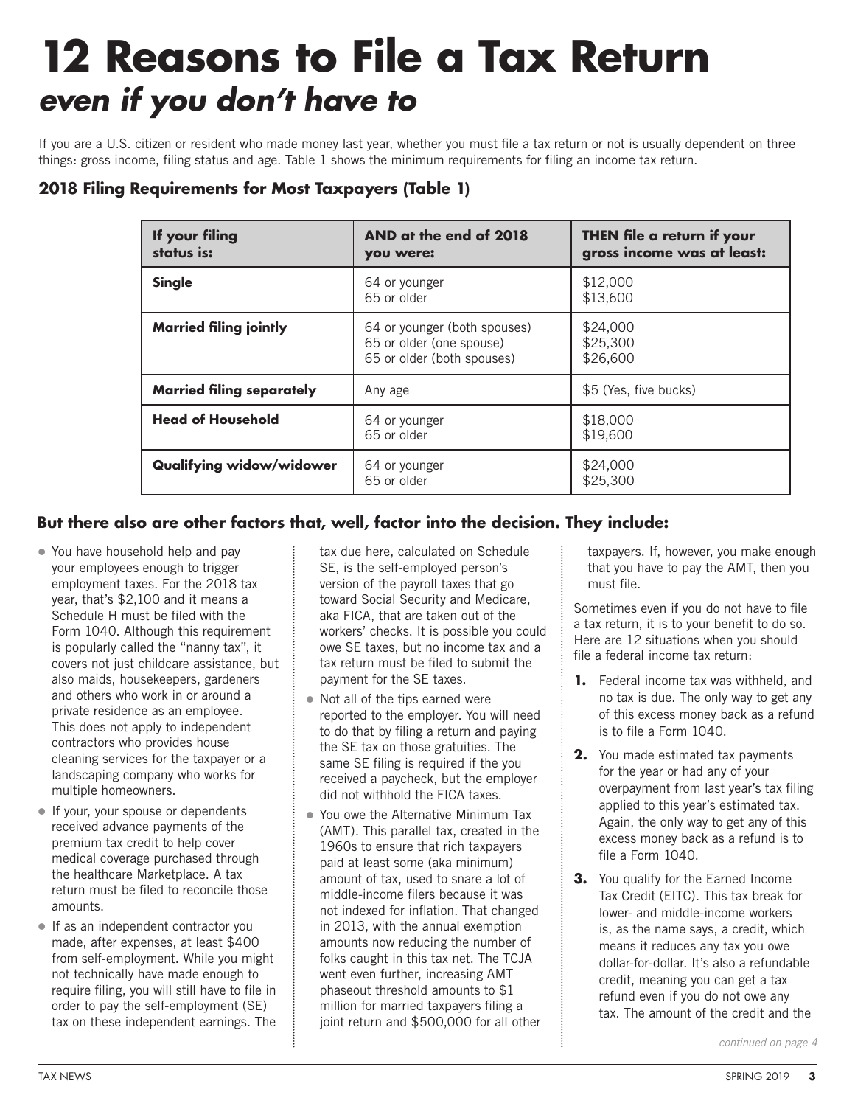# **12 Reasons to File a Tax Return**  *even if you don't have to*

If you are a U.S. citizen or resident who made money last year, whether you must file a tax return or not is usually dependent on three things: gross income, filing status and age. Table 1 shows the minimum requirements for filing an income tax return.

| If your filing<br>status is:     | AND at the end of 2018<br>you were:                                                    | THEN file a return if your<br>gross income was at least: |
|----------------------------------|----------------------------------------------------------------------------------------|----------------------------------------------------------|
| <b>Single</b>                    | 64 or younger<br>65 or older                                                           | \$12,000<br>\$13,600                                     |
| <b>Married filing jointly</b>    | 64 or younger (both spouses)<br>65 or older (one spouse)<br>65 or older (both spouses) | \$24,000<br>\$25,300<br>\$26,600                         |
| <b>Married filing separately</b> | Any age                                                                                | \$5 (Yes, five bucks)                                    |
| <b>Head of Household</b>         | 64 or younger<br>65 or older                                                           | \$18,000<br>\$19,600                                     |
| <b>Qualifying widow/widower</b>  | 64 or younger<br>65 or older                                                           | \$24,000<br>\$25,300                                     |

### **2018 Filing Requirements for Most Taxpayers (Table 1)**

### **But there also are other factors that, well, factor into the decision. They include:**

- You have household help and pay your employees enough to trigger employment taxes. For the 2018 tax year, that's \$2,100 and it means a Schedule H must be filed with the Form 1040. Although this requirement is popularly called the "nanny tax", it covers not just childcare assistance, but also maids, housekeepers, gardeners and others who work in or around a private residence as an employee. This does not apply to independent contractors who provides house cleaning services for the taxpayer or a landscaping company who works for multiple homeowners.
- If your, your spouse or dependents received advance payments of the premium tax credit to help cover medical coverage purchased through the healthcare Marketplace. A tax return must be filed to reconcile those amounts.
- If as an independent contractor you made, after expenses, at least \$400 from self-employment. While you might not technically have made enough to require filing, you will still have to file in order to pay the self-employment (SE) tax on these independent earnings. The

tax due here, calculated on Schedule SE, is the self-employed person's version of the payroll taxes that go toward Social Security and Medicare, aka FICA, that are taken out of the workers' checks. It is possible you could owe SE taxes, but no income tax and a tax return must be filed to submit the payment for the SE taxes.

- Not all of the tips earned were reported to the employer. You will need to do that by filing a return and paying the SE tax on those gratuities. The same SE filing is required if the you received a paycheck, but the employer did not withhold the FICA taxes.
- You owe the Alternative Minimum Tax (AMT). This parallel tax, created in the 1960s to ensure that rich taxpayers paid at least some (aka minimum) amount of tax, used to snare a lot of middle-income filers because it was not indexed for inflation. That changed in 2013, with the annual exemption amounts now reducing the number of folks caught in this tax net. The TCJA went even further, increasing AMT phaseout threshold amounts to \$1 million for married taxpayers filing a joint return and \$500,000 for all other

taxpayers. If, however, you make enough that you have to pay the AMT, then you must file.

Sometimes even if you do not have to file a tax return, it is to your benefit to do so. Here are 12 situations when you should file a federal income tax return:

- **1.** Federal income tax was withheld, and no tax is due. The only way to get any of this excess money back as a refund is to file a Form 1040.
- **2.** You made estimated tax payments for the year or had any of your overpayment from last year's tax filing applied to this year's estimated tax. Again, the only way to get any of this excess money back as a refund is to file a Form 1040.
- **3.** You qualify for the Earned Income Tax Credit (EITC). This tax break for lower- and middle-income workers is, as the name says, a credit, which means it reduces any tax you owe dollar-for-dollar. It's also a refundable credit, meaning you can get a tax refund even if you do not owe any tax. The amount of the credit and the